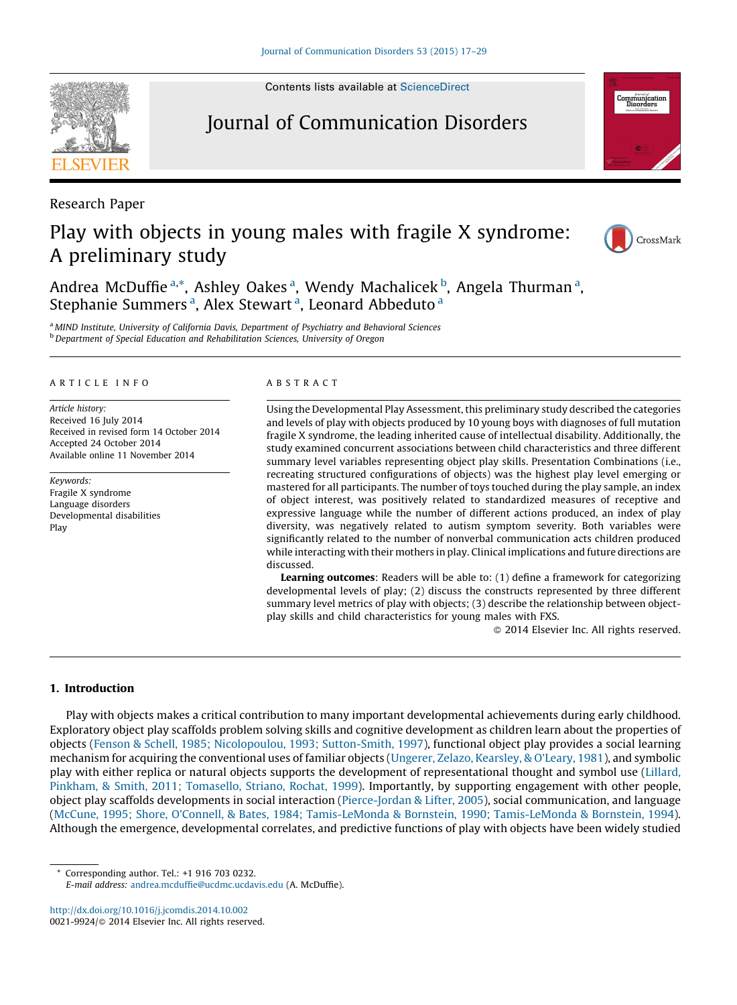Contents lists available at [ScienceDirect](http://www.sciencedirect.com/science/journal/00219924)

# Journal of Communication Disorders

Research Paper

# Play with objects in young males with fragile X syndrome: A preliminary study

Andrea McDuffie<sup>a,\*</sup>, Ashley Oakes<sup>a</sup>, Wendy Machalicek<sup>b</sup>, Angela Thurman<sup>a</sup>, Stephanie Summers<sup>a</sup>, Alex Stewart<sup>a</sup>, Leonard Abbeduto<sup>a</sup>

a MIND Institute, University of California Davis, Department of Psychiatry and Behavioral Sciences **b** Department of Special Education and Rehabilitation Sciences, University of Oregon

#### A R T I C L E I N E O

Article history: Received 16 July 2014 Received in revised form 14 October 2014 Accepted 24 October 2014 Available online 11 November 2014

Keywords: Fragile X syndrome Language disorders Developmental disabilities Play

## A B S T R A C T

Using the Developmental Play Assessment, this preliminary study described the categories and levels of play with objects produced by 10 young boys with diagnoses of full mutation fragile X syndrome, the leading inherited cause of intellectual disability. Additionally, the study examined concurrent associations between child characteristics and three different summary level variables representing object play skills. Presentation Combinations (i.e., recreating structured configurations of objects) was the highest play level emerging or mastered for all participants. The number of toys touched during the play sample, an index of object interest, was positively related to standardized measures of receptive and expressive language while the number of different actions produced, an index of play diversity, was negatively related to autism symptom severity. Both variables were significantly related to the number of nonverbal communication acts children produced while interacting with their mothers in play. Clinical implications and future directions are discussed.

Learning outcomes: Readers will be able to: (1) define a framework for categorizing developmental levels of play; (2) discuss the constructs represented by three different summary level metrics of play with objects; (3) describe the relationship between objectplay skills and child characteristics for young males with FXS.

- 2014 Elsevier Inc. All rights reserved.

# 1. Introduction

Play with objects makes a critical contribution to many important developmental achievements during early childhood. Exploratory object play scaffolds problem solving skills and cognitive development as children learn about the properties of objects (Fenson & Schell, 1985; Nicolopoulou, 1993; [Sutton-Smith,](#page-11-0) 1997), functional object play provides a social learning mechanism for acquiring the conventional uses of familiar objects (Ungerer, Zelazo, [Kearsley,](#page-12-0) & O'Leary, 1981), and symbolic play with either replica or natural objects supports the development of representational thought and symbol use [\(Lillard,](#page-11-0) Pinkham, & Smith, 2011; [Tomasello,](#page-11-0) Striano, Rochat, 1999). Importantly, by supporting engagement with other people, object play scaffolds developments in social interaction ([Pierce-Jordan](#page-11-0) & Lifter, 2005), social communication, and language (McCune, 1995; Shore, O'Connell, & Bates, 1984; Tamis-LeMonda & Bornstein, 1990; [Tamis-LeMonda](#page-11-0) & Bornstein, 1994). Although the emergence, developmental correlates, and predictive functions of play with objects have been widely studied

\* Corresponding author. Tel.: +1 916 703 0232.

<http://dx.doi.org/10.1016/j.jcomdis.2014.10.002> 0021-9924/© 2014 Elsevier Inc. All rights reserved.







E-mail address: [andrea.mcduffie@ucdmc.ucdavis.edu](mailto:andrea.mcduffie@ucdmc.ucdavis.edu) (A. McDuffie).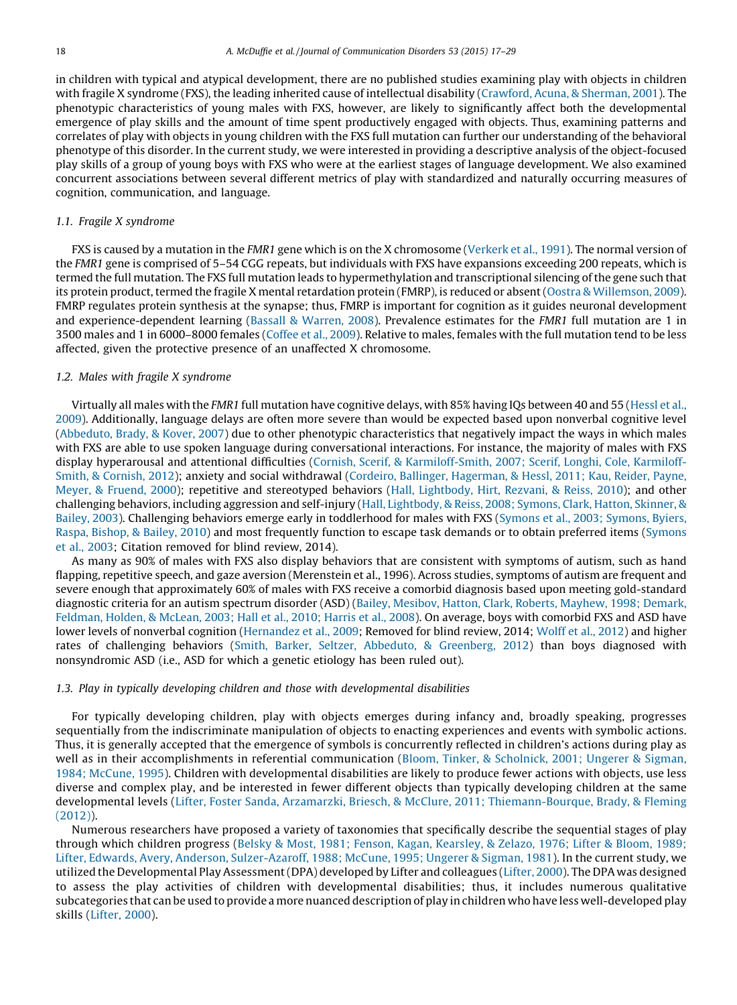in children with typical and atypical development, there are no published studies examining play with objects in children with fragile X syndrome (FXS), the leading inherited cause of intellectual disability ([Crawford,](#page-11-0) Acuna, & Sherman, 2001). The phenotypic characteristics of young males with FXS, however, are likely to significantly affect both the developmental emergence of play skills and the amount of time spent productively engaged with objects. Thus, examining patterns and correlates of play with objects in young children with the FXS full mutation can further our understanding of the behavioral phenotype of this disorder. In the current study, we were interested in providing a descriptive analysis of the object-focused play skills of a group of young boys with FXS who were at the earliest stages of language development. We also examined concurrent associations between several different metrics of play with standardized and naturally occurring measures of cognition, communication, and language.

#### 1.1. Fragile X syndrome

FXS is caused by a mutation in the FMR1 gene which is on the X chromosome ([Verkerk](#page-12-0) et al., 1991). The normal version of the FMR1 gene is comprised of 5–54 CGG repeats, but individuals with FXS have expansions exceeding 200 repeats, which is termed the full mutation. The FXS full mutation leads to hypermethylation and transcriptional silencing ofthe gene such that its protein product, termed the fragile X mental retardation protein (FMRP), is reduced or absent (Oostra & [Willemson,](#page-11-0) 2009). FMRP regulates protein synthesis at the synapse; thus, FMRP is important for cognition as it guides neuronal development and experience-dependent learning (Bassall & [Warren,](#page-10-0) 2008). Prevalence estimates for the FMR1 full mutation are 1 in 3500 males and 1 in 6000–8000 females ([Coffee](#page-11-0) et al., 2009). Relative to males, females with the full mutation tend to be less affected, given the protective presence of an unaffected X chromosome.

## 1.2. Males with fragile X syndrome

Virtually all males with the FMR1 full mutation have cognitive delays, with 85% having IQs between 40 and 55 ([Hessl](#page-11-0) et al., [2009](#page-11-0)). Additionally, language delays are often more severe than would be expected based upon nonverbal cognitive level [\(Abbeduto,](#page-10-0) Brady, & Kover, 2007) due to other phenotypic characteristics that negatively impact the ways in which males with FXS are able to use spoken language during conversational interactions. For instance, the majority of males with FXS display hyperarousal and attentional difficulties (Cornish, Scerif, & [Karmiloff-Smith,](#page-11-0) 2007; Scerif, Longhi, Cole, Karmiloff-Smith, & [Cornish,](#page-11-0) 2012); anxiety and social withdrawal (Cordeiro, Ballinger, [Hagerman,](#page-11-0) & Hessl, 2011; Kau, Reider, Payne, Meyer, & [Fruend,](#page-11-0) 2000); repetitive and stereotyped behaviors (Hall, [Lightbody,](#page-11-0) Hirt, Rezvani, & Reiss, 2010); and other challenging behaviors, including aggression and self-injury (Hall, [Lightbody,](#page-11-0) & Reiss, 2008; Symons, Clark, Hatton, Skinner, & [Bailey,](#page-11-0) 2003). Challenging behaviors emerge early in toddlerhood for males with FXS (Symons et al., 2003; [Symons,](#page-11-0) Byiers, Raspa, [Bishop,](#page-11-0) & Bailey, 2010) and most frequently function to escape task demands or to obtain preferred items [\(Symons](#page-11-0) et al., [2003;](#page-11-0) Citation removed for blind review, 2014).

As many as 90% of males with FXS also display behaviors that are consistent with symptoms of autism, such as hand flapping, repetitive speech, and gaze aversion (Merenstein et al., 1996). Across studies, symptoms of autism are frequent and severe enough that approximately 60% of males with FXS receive a comorbid diagnosis based upon meeting gold-standard diagnostic criteria for an autism spectrum disorder (ASD) (Bailey, Mesibov, Hatton, Clark, Roberts, [Mayhew,](#page-10-0) 1998; Demark, [Feldman,](#page-10-0) Holden, & McLean, 2003; Hall et al., 2010; Harris et al., 2008). On average, boys with comorbid FXS and ASD have lower levels of nonverbal cognition [\(Hernandez](#page-11-0) et al., 2009; Removed for blind review, 2014; [Wolff](#page-12-0) et al., 2012) and higher rates of challenging behaviors (Smith, Barker, Seltzer, Abbeduto, & [Greenberg,](#page-11-0) 2012) than boys diagnosed with nonsyndromic ASD (i.e., ASD for which a genetic etiology has been ruled out).

# 1.3. Play in typically developing children and those with developmental disabilities

For typically developing children, play with objects emerges during infancy and, broadly speaking, progresses sequentially from the indiscriminate manipulation of objects to enacting experiences and events with symbolic actions. Thus, it is generally accepted that the emergence of symbols is concurrently reflected in children's actions during play as well as in their accomplishments in referential communication (Bloom, Tinker, & [Scholnick,](#page-10-0) 2001; Ungerer & Sigman, 1984; [McCune,](#page-10-0) 1995). Children with developmental disabilities are likely to produce fewer actions with objects, use less diverse and complex play, and be interested in fewer different objects than typically developing children at the same developmental levels (Lifter, Foster Sanda, Arzamarzki, Briesch, & McClure, 2011; [Thiemann-Bourque,](#page-11-0) Brady, & Fleming [\(2012\)](#page-11-0)).

Numerous researchers have proposed a variety of taxonomies that specifically describe the sequential stages of play through which children progress (Belsky & Most, 1981; Fenson, Kagan, [Kearsley,](#page-10-0) & Zelazo, 1976; Lifter & Bloom, 1989; Lifter, Edwards, Avery, Anderson, [Sulzer-Azaroff,](#page-10-0) 1988; McCune, 1995; Ungerer & Sigman, 1981). In the current study, we utilized the Developmental Play Assessment(DPA) developed by Lifter and colleagues [\(Lifter,](#page-11-0) 2000). The DPA was designed to assess the play activities of children with developmental disabilities; thus, it includes numerous qualitative subcategories that can be used to provide a more nuanced description of play in children who have less well-developed play skills ([Lifter,](#page-11-0) 2000).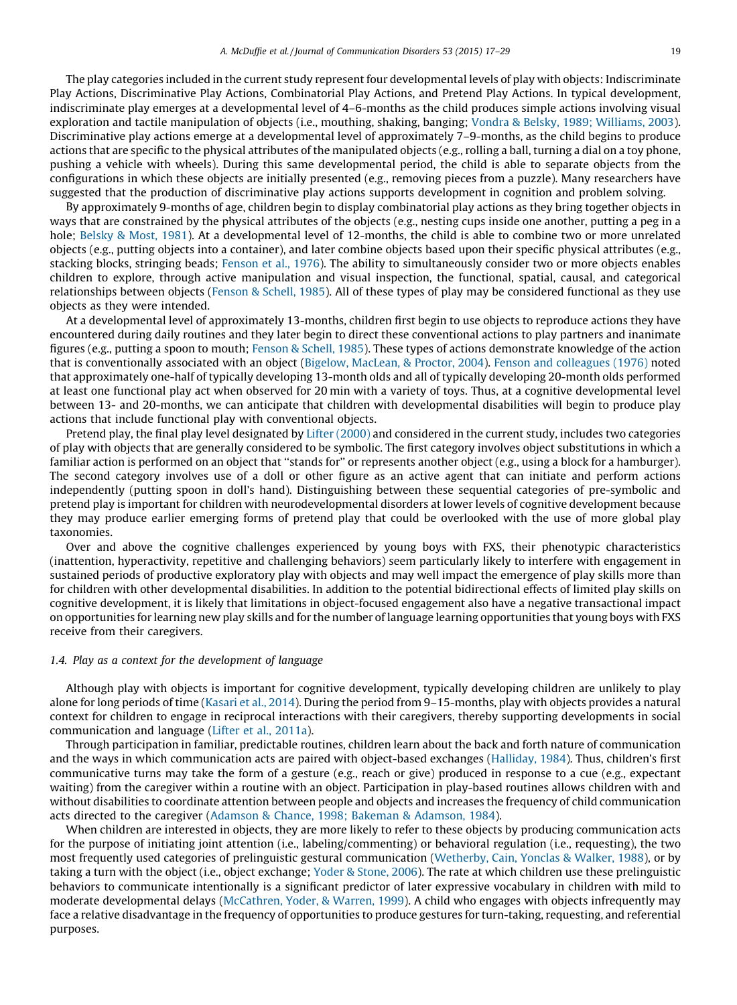The play categories included in the current study represent four developmental levels of play with objects: Indiscriminate Play Actions, Discriminative Play Actions, Combinatorial Play Actions, and Pretend Play Actions. In typical development, indiscriminate play emerges at a developmental level of 4–6-months as the child produces simple actions involving visual exploration and tactile manipulation of objects (i.e., mouthing, shaking, banging; Vondra & Belsky, 1989; [Williams,](#page-12-0) 2003). Discriminative play actions emerge at a developmental level of approximately 7–9-months, as the child begins to produce actions that are specific to the physical attributes of the manipulated objects (e.g., rolling a ball, turning a dial on a toy phone, pushing a vehicle with wheels). During this same developmental period, the child is able to separate objects from the configurations in which these objects are initially presented (e.g., removing pieces from a puzzle). Many researchers have suggested that the production of discriminative play actions supports development in cognition and problem solving.

By approximately 9-months of age, children begin to display combinatorial play actions as they bring together objects in ways that are constrained by the physical attributes of the objects (e.g., nesting cups inside one another, putting a peg in a hole; [Belsky](#page-10-0) & Most, 1981). At a developmental level of 12-months, the child is able to combine two or more unrelated objects (e.g., putting objects into a container), and later combine objects based upon their specific physical attributes (e.g., stacking blocks, stringing beads; [Fenson](#page-11-0) et al., 1976). The ability to simultaneously consider two or more objects enables children to explore, through active manipulation and visual inspection, the functional, spatial, causal, and categorical relationships between objects ([Fenson](#page-11-0) & Schell, 1985). All of these types of play may be considered functional as they use objects as they were intended.

At a developmental level of approximately 13-months, children first begin to use objects to reproduce actions they have encountered during daily routines and they later begin to direct these conventional actions to play partners and inanimate figures (e.g., putting a spoon to mouth; [Fenson](#page-11-0) & Schell, 1985). These types of actions demonstrate knowledge of the action that is conventionally associated with an object (Bigelow, [MacLean,](#page-10-0) & Proctor, 2004). Fenson and [colleagues](#page-11-0) (1976) noted that approximately one-half of typically developing 13-month olds and all of typically developing 20-month olds performed at least one functional play act when observed for 20 min with a variety of toys. Thus, at a cognitive developmental level between 13- and 20-months, we can anticipate that children with developmental disabilities will begin to produce play actions that include functional play with conventional objects.

Pretend play, the final play level designated by Lifter [\(2000\)](#page-11-0) and considered in the current study, includes two categories of play with objects that are generally considered to be symbolic. The first category involves object substitutions in which a familiar action is performed on an object that ''stands for'' or represents another object (e.g., using a block for a hamburger). The second category involves use of a doll or other figure as an active agent that can initiate and perform actions independently (putting spoon in doll's hand). Distinguishing between these sequential categories of pre-symbolic and pretend play is important for children with neurodevelopmental disorders at lower levels of cognitive development because they may produce earlier emerging forms of pretend play that could be overlooked with the use of more global play taxonomies.

Over and above the cognitive challenges experienced by young boys with FXS, their phenotypic characteristics (inattention, hyperactivity, repetitive and challenging behaviors) seem particularly likely to interfere with engagement in sustained periods of productive exploratory play with objects and may well impact the emergence of play skills more than for children with other developmental disabilities. In addition to the potential bidirectional effects of limited play skills on cognitive development, it is likely that limitations in object-focused engagement also have a negative transactional impact on opportunities for learning new play skills and for the number of language learning opportunities that young boys with FXS receive from their caregivers.

### 1.4. Play as a context for the development of language

Although play with objects is important for cognitive development, typically developing children are unlikely to play alone for long periods of time ([Kasari](#page-11-0) et al., 2014). During the period from 9–15-months, play with objects provides a natural context for children to engage in reciprocal interactions with their caregivers, thereby supporting developments in social communication and language (Lifter et al., [2011a\)](#page-11-0).

Through participation in familiar, predictable routines, children learn about the back and forth nature of communication and the ways in which communication acts are paired with object-based exchanges ([Halliday,](#page-11-0) 1984). Thus, children's first communicative turns may take the form of a gesture (e.g., reach or give) produced in response to a cue (e.g., expectant waiting) from the caregiver within a routine with an object. Participation in play-based routines allows children with and without disabilities to coordinate attention between people and objects and increases the frequency of child communication acts directed to the caregiver (Adamson & Chance, 1998; Bakeman & [Adamson,](#page-10-0) 1984).

When children are interested in objects, they are more likely to refer to these objects by producing communication acts for the purpose of initiating joint attention (i.e., labeling/commenting) or behavioral regulation (i.e., requesting), the two most frequently used categories of prelinguistic gestural communication [\(Wetherby,](#page-12-0) Cain, Yonclas & Walker, 1988), or by taking a turn with the object (i.e., object exchange; Yoder & [Stone,](#page-12-0) 2006). The rate at which children use these prelinguistic behaviors to communicate intentionally is a significant predictor of later expressive vocabulary in children with mild to moderate developmental delays [\(McCathren,](#page-11-0) Yoder, & Warren, 1999). A child who engages with objects infrequently may face a relative disadvantage in the frequency of opportunities to produce gestures for turn-taking, requesting, and referential purposes.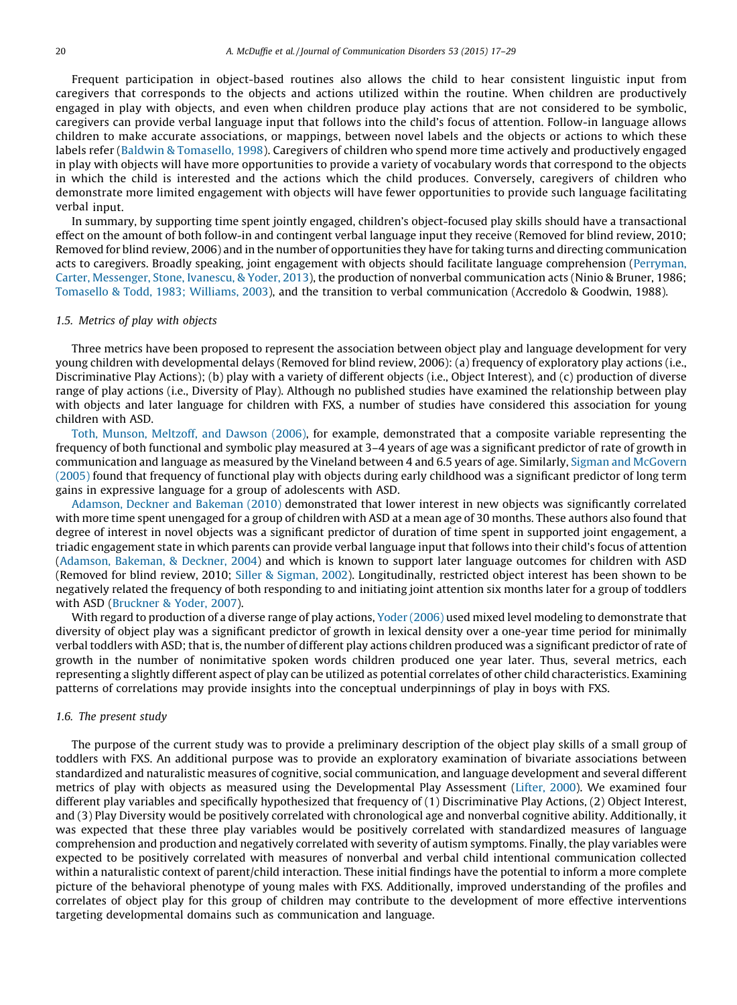Frequent participation in object-based routines also allows the child to hear consistent linguistic input from caregivers that corresponds to the objects and actions utilized within the routine. When children are productively engaged in play with objects, and even when children produce play actions that are not considered to be symbolic, caregivers can provide verbal language input that follows into the child's focus of attention. Follow-in language allows children to make accurate associations, or mappings, between novel labels and the objects or actions to which these labels refer (Baldwin & [Tomasello,](#page-10-0) 1998). Caregivers of children who spend more time actively and productively engaged in play with objects will have more opportunities to provide a variety of vocabulary words that correspond to the objects in which the child is interested and the actions which the child produces. Conversely, caregivers of children who demonstrate more limited engagement with objects will have fewer opportunities to provide such language facilitating verbal input.

In summary, by supporting time spent jointly engaged, children's object-focused play skills should have a transactional effect on the amount of both follow-in and contingent verbal language input they receive (Removed for blind review, 2010; Removed for blind review, 2006) and in the number of opportunities they have for taking turns and directing communication acts to caregivers. Broadly speaking, joint engagement with objects should facilitate language comprehension [\(Perryman,](#page-11-0) Carter, [Messenger,](#page-11-0) Stone, Ivanescu, & Yoder, 2013), the production of nonverbal communication acts (Ninio & Bruner, 1986; [Tomasello](#page-12-0) & Todd, 1983; Williams, 2003), and the transition to verbal communication (Accredolo & Goodwin, 1988).

#### 1.5. Metrics of play with objects

Three metrics have been proposed to represent the association between object play and language development for very young children with developmental delays (Removed for blind review, 2006): (a) frequency of exploratory play actions (i.e., Discriminative Play Actions); (b) play with a variety of different objects (i.e., Object Interest), and (c) production of diverse range of play actions (i.e., Diversity of Play). Although no published studies have examined the relationship between play with objects and later language for children with FXS, a number of studies have considered this association for young children with ASD.

Toth, Munson, [Meltzoff,](#page-12-0) and Dawson (2006), for example, demonstrated that a composite variable representing the frequency of both functional and symbolic play measured at 3–4 years of age was a significant predictor of rate of growth in communication and language as measured by the Vineland between 4 and 6.5 years of age. Similarly, Sigman and [McGovern](#page-11-0) [\(2005\)](#page-11-0) found that frequency of functional play with objects during early childhood was a significant predictor of long term gains in expressive language for a group of adolescents with ASD.

[Adamson,](#page-10-0) Deckner and Bakeman (2010) demonstrated that lower interest in new objects was significantly correlated with more time spent unengaged for a group of children with ASD at a mean age of 30 months. These authors also found that degree of interest in novel objects was a significant predictor of duration of time spent in supported joint engagement, a triadic engagement state in which parents can provide verbal language input that follows into their child's focus of attention [\(Adamson,](#page-10-0) Bakeman, & Deckner, 2004) and which is known to support later language outcomes for children with ASD (Removed for blind review, 2010; Siller & [Sigman,](#page-11-0) 2002). Longitudinally, restricted object interest has been shown to be negatively related the frequency of both responding to and initiating joint attention six months later for a group of toddlers with ASD [\(Bruckner](#page-10-0) & Yoder, 2007).

With regard to production of a diverse range of play actions, Yoder [\(2006\)](#page-12-0) used mixed level modeling to demonstrate that diversity of object play was a significant predictor of growth in lexical density over a one-year time period for minimally verbal toddlers with ASD; that is, the number of different play actions children produced was a significant predictor of rate of growth in the number of nonimitative spoken words children produced one year later. Thus, several metrics, each representing a slightly different aspect of play can be utilized as potential correlates of other child characteristics. Examining patterns of correlations may provide insights into the conceptual underpinnings of play in boys with FXS.

# 1.6. The present study

The purpose of the current study was to provide a preliminary description of the object play skills of a small group of toddlers with FXS. An additional purpose was to provide an exploratory examination of bivariate associations between standardized and naturalistic measures of cognitive, social communication, and language development and several different metrics of play with objects as measured using the Developmental Play Assessment ([Lifter,](#page-11-0) 2000). We examined four different play variables and specifically hypothesized that frequency of (1) Discriminative Play Actions, (2) Object Interest, and (3) Play Diversity would be positively correlated with chronological age and nonverbal cognitive ability. Additionally, it was expected that these three play variables would be positively correlated with standardized measures of language comprehension and production and negatively correlated with severity of autism symptoms. Finally, the play variables were expected to be positively correlated with measures of nonverbal and verbal child intentional communication collected within a naturalistic context of parent/child interaction. These initial findings have the potential to inform a more complete picture of the behavioral phenotype of young males with FXS. Additionally, improved understanding of the profiles and correlates of object play for this group of children may contribute to the development of more effective interventions targeting developmental domains such as communication and language.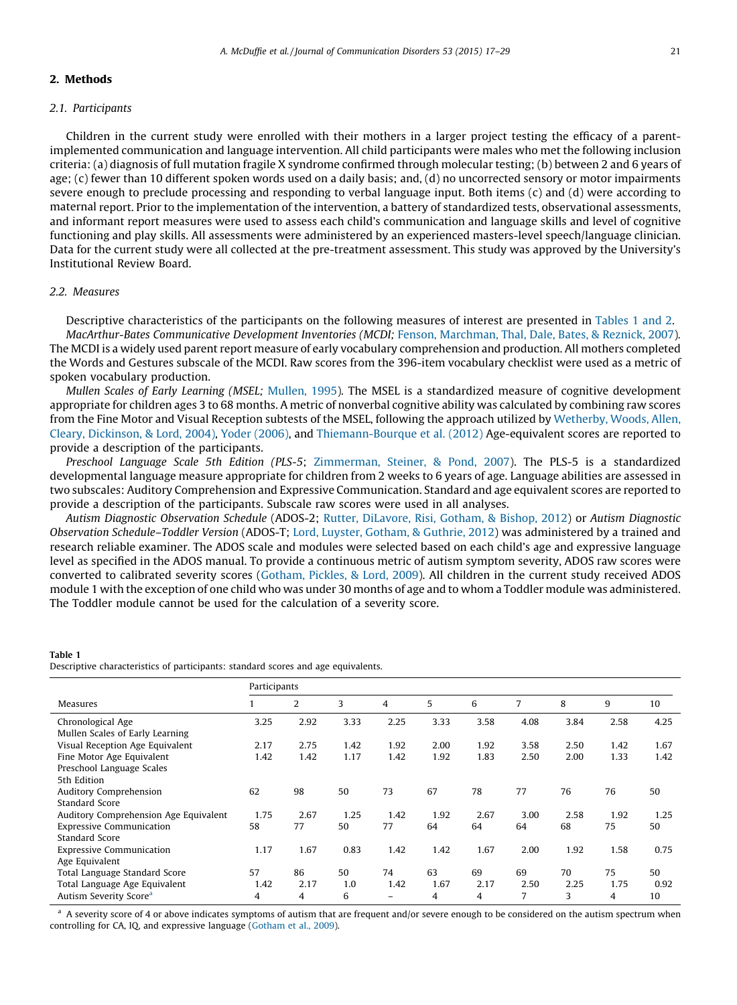# 2. Methods

# 2.1. Participants

Children in the current study were enrolled with their mothers in a larger project testing the efficacy of a parentimplemented communication and language intervention. All child participants were males who met the following inclusion criteria: (a) diagnosis of full mutation fragile X syndrome confirmed through molecular testing; (b) between 2 and 6 years of age; (c) fewer than 10 different spoken words used on a daily basis; and, (d) no uncorrected sensory or motor impairments severe enough to preclude processing and responding to verbal language input. Both items (c) and (d) were according to maternal report. Prior to the implementation of the intervention, a battery of standardized tests, observational assessments, and informant report measures were used to assess each child's communication and language skills and level of cognitive functioning and play skills. All assessments were administered by an experienced masters-level speech/language clinician. Data for the current study were all collected at the pre-treatment assessment. This study was approved by the University's Institutional Review Board.

# 2.2. Measures

Table 1

Descriptive characteristics of the participants on the following measures of interest are presented in Tables 1 and 2. MacArthur-Bates Communicative Development Inventories (MCDI; Fenson, [Marchman,](#page-11-0) Thal, Dale, Bates, & Reznick, 2007). The MCDI is a widely used parent report measure of early vocabulary comprehension and production. All mothers completed the Words and Gestures subscale of the MCDI. Raw scores from the 396-item vocabulary checklist were used as a metric of spoken vocabulary production.

Mullen Scales of Early Learning (MSEL; [Mullen,](#page-11-0) 1995). The MSEL is a standardized measure of cognitive development appropriate for children ages 3 to 68 months. A metric of nonverbal cognitive ability was calculated by combining raw scores from the Fine Motor and Visual Reception subtests of the MSEL, following the approach utilized by [Wetherby,](#page-12-0) Woods, Allen, Cleary, [Dickinson,](#page-12-0) & Lord, 2004), Yoder [\(2006\)](#page-12-0), and [Thiemann-Bourque](#page-11-0) et al. (2012) Age-equivalent scores are reported to provide a description of the participants.

Preschool Language Scale 5th Edition (PLS-5; [Zimmerman,](#page-12-0) Steiner, & Pond, 2007). The PLS-5 is a standardized developmental language measure appropriate for children from 2 weeks to 6 years of age. Language abilities are assessed in two subscales: Auditory Comprehension and Expressive Communication. Standard and age equivalent scores are reported to provide a description of the participants. Subscale raw scores were used in all analyses.

Autism Diagnostic Observation Schedule (ADOS-2; Rutter, [DiLavore,](#page-11-0) Risi, Gotham, & Bishop, 2012) or Autism Diagnostic Observation Schedule–Toddler Version (ADOS-T; Lord, Luyster, [Gotham,](#page-11-0) & Guthrie, 2012) was administered by a trained and research reliable examiner. The ADOS scale and modules were selected based on each child's age and expressive language level as specified in the ADOS manual. To provide a continuous metric of autism symptom severity, ADOS raw scores were converted to calibrated severity scores ([Gotham,](#page-11-0) Pickles, & Lord, 2009). All children in the current study received ADOS module 1 with the exception of one child who was under 30 months of age and to whom a Toddler module was administered. The Toddler module cannot be used for the calculation of a severity score.

| Descriptive characteristics of participants: standard scores and age equivalents. |  |  |  |
|-----------------------------------------------------------------------------------|--|--|--|

|                 | 2               | 3                          | 4                                      | 5               | 6               | 7                  | 8               | 9               | 10               |  |
|-----------------|-----------------|----------------------------|----------------------------------------|-----------------|-----------------|--------------------|-----------------|-----------------|------------------|--|
| 3.25            | 2.92            | 3.33                       | 2.25                                   | 3.33            | 3.58            | 4.08               | 3.84            | 2.58            | 4.25             |  |
| 2.17            | 2.75            | 1.42                       | 1.92                                   | 2.00            | 1.92            | 3.58               | 2.50            | 1.42            | 1.67<br>1.42     |  |
|                 |                 |                            |                                        |                 |                 |                    |                 |                 |                  |  |
| 62              | 98              | 50                         | 73                                     | 67              | 78              | 77                 | 76              | 76              | 50               |  |
| 1.75            | 2.67            | 1.25                       | 1.42                                   | 1.92            | 2.67            | 3.00               | 2.58            | 1.92            | 1.25             |  |
|                 |                 |                            |                                        |                 |                 |                    |                 |                 | 50               |  |
| 1.17            | 1.67            | 0.83                       | 1.42                                   | 1.42            |                 | 2.00               | 1.92            | 1.58            | 0.75             |  |
| 57<br>1.42<br>4 | 86<br>2.17<br>4 | 50<br>1.0<br>6             | 74<br>1.42<br>$\overline{\phantom{0}}$ | 63<br>1.67<br>4 | 69<br>2.17<br>4 | 69<br>2.50<br>7    | 70<br>2.25<br>3 | 75<br>1.75<br>4 | 50<br>0.92<br>10 |  |
|                 | 1.42<br>58      | Participants<br>1.42<br>77 | 1.17<br>50                             | 1.42<br>77      | 1.92<br>64      | 1.83<br>64<br>1.67 | 2.50<br>64      | 2.00<br>68      | 1.33<br>75       |  |

<sup>a</sup> A severity score of 4 or above indicates symptoms of autism that are frequent and/or severe enough to be considered on the autism spectrum when controlling for CA, IQ, and expressive language [\(Gotham](#page-11-0) et al., 2009).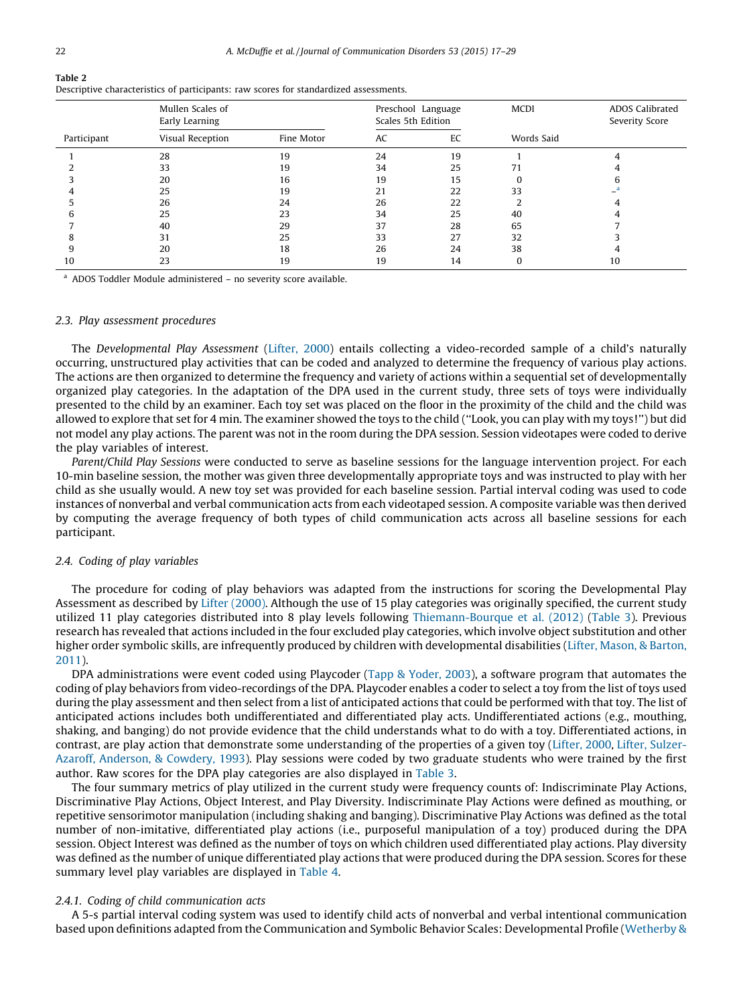|             | Mullen Scales of<br>Early Learning |            | Scales 5th Edition | Preschool Language | <b>MCDI</b> | <b>ADOS Calibrated</b><br>Severity Score |
|-------------|------------------------------------|------------|--------------------|--------------------|-------------|------------------------------------------|
| Participant | Visual Reception                   | Fine Motor | AC                 | EC                 | Words Said  |                                          |
|             | 28                                 | 19         | 24                 | 19                 |             |                                          |
|             | 33                                 | 19         | 34                 | 25                 |             |                                          |
|             | 20                                 | 16         | 19                 | 15                 |             |                                          |
|             | 25                                 | 19         | 21                 | 22                 | 33          |                                          |
|             | 26                                 | 24         | 26                 | 22                 |             |                                          |
|             | 25                                 | 23         | 34                 | 25                 | 40          |                                          |
|             | 40                                 | 29         | 37                 | 28                 | 65          |                                          |
|             | 31                                 | 25         | 33                 | 27                 | 32          |                                          |
|             | 20                                 | 18         | 26                 | 24                 | 38          |                                          |
| 10          | 23                                 | 19         | 19                 | 14                 |             | 10                                       |

Descriptive characteristics of participants: raw scores for standardized assessments.

<sup>a</sup> ADOS Toddler Module administered – no severity score available.

#### 2.3. Play assessment procedures

The Developmental Play Assessment [\(Lifter,](#page-11-0) 2000) entails collecting a video-recorded sample of a child's naturally occurring, unstructured play activities that can be coded and analyzed to determine the frequency of various play actions. The actions are then organized to determine the frequency and variety of actions within a sequential set of developmentally organized play categories. In the adaptation of the DPA used in the current study, three sets of toys were individually presented to the child by an examiner. Each toy set was placed on the floor in the proximity of the child and the child was allowed to explore that set for 4 min. The examiner showed the toys to the child (''Look, you can play with my toys!'') but did not model any play actions. The parent was not in the room during the DPA session. Session videotapes were coded to derive the play variables of interest.

Parent/Child Play Sessions were conducted to serve as baseline sessions for the language intervention project. For each 10-min baseline session, the mother was given three developmentally appropriate toys and was instructed to play with her child as she usually would. A new toy set was provided for each baseline session. Partial interval coding was used to code instances of nonverbal and verbal communication acts from each videotaped session. A composite variable was then derived by computing the average frequency of both types of child communication acts across all baseline sessions for each participant.

# 2.4. Coding of play variables

The procedure for coding of play behaviors was adapted from the instructions for scoring the Developmental Play Assessment as described by Lifter [\(2000\)](#page-11-0). Although the use of 15 play categories was originally specified, the current study utilized 11 play categories distributed into 8 play levels following [Thiemann-Bourque](#page-11-0) et al. (2012) [\(Table](#page-6-0) 3). Previous research has revealed that actions included in the four excluded play categories, which involve object substitution and other higher order symbolic skills, are infrequently produced by children with developmental disabilities (Lifter, [Mason,](#page-11-0) & Barton, [2011](#page-11-0)).

DPA administrations were event coded using Playcoder (Tapp & [Yoder,](#page-11-0) 2003), a software program that automates the coding of play behaviors from video-recordings of the DPA. Playcoder enables a coder to select a toy from the list of toys used during the play assessment and then select from a list of anticipated actions that could be performed with that toy. The list of anticipated actions includes both undifferentiated and differentiated play acts. Undifferentiated actions (e.g., mouthing, shaking, and banging) do not provide evidence that the child understands what to do with a toy. Differentiated actions, in contrast, are play action that demonstrate some understanding of the properties of a given toy [\(Lifter,](#page-11-0) 2000, Lifter, [Sulzer-](#page-11-0)Azaroff, [Anderson,](#page-11-0) & Cowdery, 1993). Play sessions were coded by two graduate students who were trained by the first author. Raw scores for the DPA play categories are also displayed in [Table](#page-6-0) 3.

The four summary metrics of play utilized in the current study were frequency counts of: Indiscriminate Play Actions, Discriminative Play Actions, Object Interest, and Play Diversity. Indiscriminate Play Actions were defined as mouthing, or repetitive sensorimotor manipulation (including shaking and banging). Discriminative Play Actions was defined as the total number of non-imitative, differentiated play actions (i.e., purposeful manipulation of a toy) produced during the DPA session. Object Interest was defined as the number of toys on which children used differentiated play actions. Play diversity was defined as the number of unique differentiated play actions that were produced during the DPA session. Scores for these summary level play variables are displayed in [Table](#page-6-0) 4.

# 2.4.1. Coding of child communication acts

A 5-s partial interval coding system was used to identify child acts of nonverbal and verbal intentional communication based upon definitions adapted from the Communication and Symbolic Behavior Scales: Developmental Profile ([Wetherby](#page-12-0) &

Table 2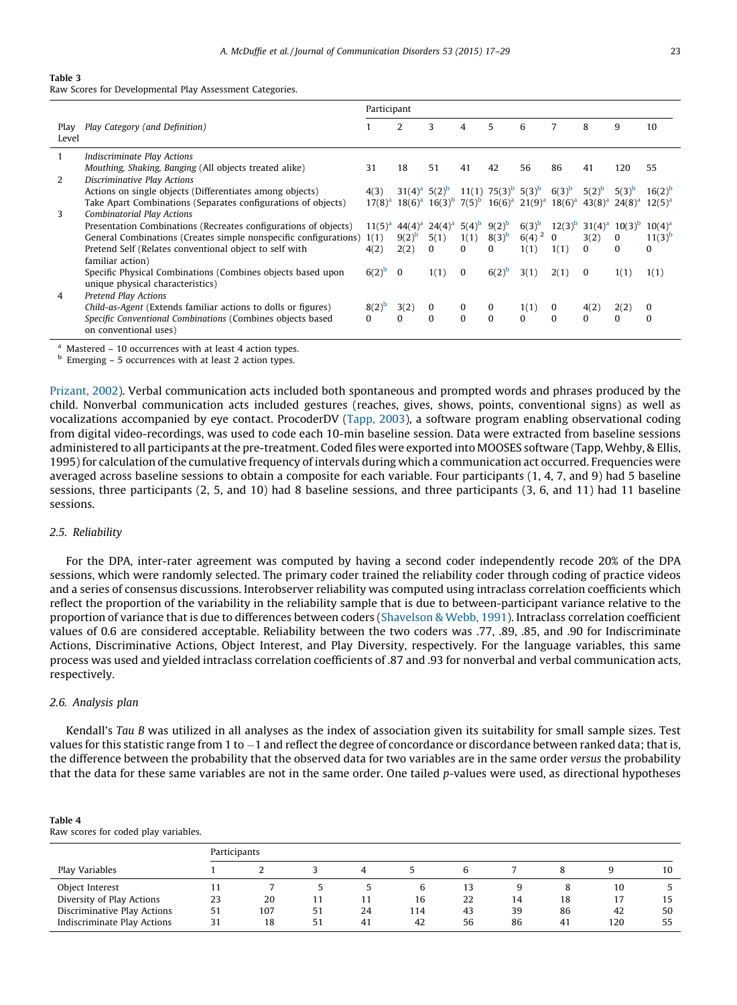# <span id="page-6-0"></span>Table 3

Raw Scores for Developmental Play Assessment Categories.

|               |                                                                                       | Participant |                             |                                                                                                    |          |                                   |              |            |            |                                                 |             |
|---------------|---------------------------------------------------------------------------------------|-------------|-----------------------------|----------------------------------------------------------------------------------------------------|----------|-----------------------------------|--------------|------------|------------|-------------------------------------------------|-------------|
| Play<br>Level | Play Category (and Definition)                                                        |             | 2                           | 3                                                                                                  |          | 5                                 | 6            | 7          | 8          | 9                                               | 10          |
|               | <b>Indiscriminate Play Actions</b>                                                    |             |                             |                                                                                                    |          |                                   |              |            |            |                                                 |             |
| 2             | Mouthing, Shaking, Banging (All objects treated alike)<br>Discriminative Play Actions | 31          | 18                          | 51                                                                                                 | 41       | 42                                | 56           | 86         | 41         | 120                                             | 55          |
|               | Actions on single objects (Differentiates among objects)                              | 4(3)        | $31(4)^a$ 5(2) <sup>b</sup> |                                                                                                    |          | 11(1) $75(3)^b$ 5(3) <sup>b</sup> |              | $6(3)^{b}$ | $5(2)^{b}$ | $5(3)^{b}$                                      | $16(2)^{b}$ |
|               | Take Apart Combinations (Separates configurations of objects)                         |             |                             | $17(8)^a$ $18(6)^a$ $16(3)^b$ $7(5)^b$ $16(6)^a$ $21(9)^a$ $18(6)^a$ $43(8)^a$ $24(8)^a$ $12(5)^a$ |          |                                   |              |            |            |                                                 |             |
| 3             | <b>Combinatorial Play Actions</b>                                                     |             |                             |                                                                                                    |          |                                   |              |            |            |                                                 |             |
|               | Presentation Combinations (Recreates configurations of objects)                       | $11(5)^{a}$ | $44(4)^{d}$                 | $24(4)^{a}$ 5(4) <sup>b</sup>                                                                      |          | $9(2)^{b}$                        | $6(3)^{b}$   |            |            | $12(3)^b$ 31(4) <sup>a</sup> 10(3) <sup>b</sup> | $10(4)^{a}$ |
|               | General Combinations (Creates simple nonspecific configurations) 1(1)                 |             | $9(2)^{b}$                  | 5(1)                                                                                               | 1(1)     | $8(3)^{b}$                        | $6(4)^{2}$ 0 |            | 3(2)       | 0                                               | $11(3)^{b}$ |
|               | Pretend Self (Relates conventional object to self with                                | 4(2)        | 2(2)                        | $\Omega$                                                                                           | $\Omega$ | 0                                 | 1(1)         | 1(1)       | $\Omega$   | 0                                               | $\Omega$    |
|               | familiar action)                                                                      |             |                             |                                                                                                    |          |                                   |              |            |            |                                                 |             |
|               | Specific Physical Combinations (Combines objects based upon                           | $6(2)^{b}$  | $\bf{0}$                    | 1(1)                                                                                               | $\bf{0}$ | $6(2)^{b}$                        | 3(1)         | 2(1)       | $\bf{0}$   | 1(1)                                            | 1(1)        |
|               | unique physical characteristics)                                                      |             |                             |                                                                                                    |          |                                   |              |            |            |                                                 |             |
| 4             | Pretend Play Actions                                                                  |             |                             |                                                                                                    |          |                                   |              |            |            |                                                 |             |
|               | Child-as-Agent (Extends familiar actions to dolls or figures)                         | $8(2)^{b}$  | 3(2)                        | $\bf{0}$                                                                                           | $\bf{0}$ | 0                                 | 1(1)         | $\bf{0}$   | 4(2)       | 2(2)                                            | 0           |
|               | Specific Conventional Combinations (Combines objects based<br>on conventional uses)   | $\Omega$    | $\Omega$                    | $\Omega$                                                                                           | $\Omega$ | $\Omega$                          | $\Omega$     | $\Omega$   | $\Omega$   | 0                                               | 0           |

 $a$  Mastered – 10 occurrences with at least 4 action types.

<sup>b</sup> Emerging – 5 occurrences with at least 2 action types.

[Prizant,](#page-12-0) 2002). Verbal communication acts included both spontaneous and prompted words and phrases produced by the child. Nonverbal communication acts included gestures (reaches, gives, shows, points, conventional signs) as well as vocalizations accompanied by eye contact. ProcoderDV ([Tapp,](#page-11-0) 2003), a software program enabling observational coding from digital video-recordings, was used to code each 10-min baseline session. Data were extracted from baseline sessions administered to all participants at the pre-treatment. Coded files were exported into MOOSES software (Tapp, Wehby, & Ellis, 1995) for calculation of the cumulative frequency of intervals during which a communication act occurred. Frequencies were averaged across baseline sessions to obtain a composite for each variable. Four participants (1, 4, 7, and 9) had 5 baseline sessions, three participants (2, 5, and 10) had 8 baseline sessions, and three participants (3, 6, and 11) had 11 baseline sessions.

#### 2.5. Reliability

For the DPA, inter-rater agreement was computed by having a second coder independently recode 20% of the DPA sessions, which were randomly selected. The primary coder trained the reliability coder through coding of practice videos and a series of consensus discussions. Interobserver reliability was computed using intraclass correlation coefficients which reflect the proportion of the variability in the reliability sample that is due to between-participant variance relative to the proportion of variance that is due to differences between coders ([Shavelson](#page-11-0) & Webb, 1991). Intraclass correlation coefficient values of 0.6 are considered acceptable. Reliability between the two coders was .77, .89, .85, and .90 for Indiscriminate Actions, Discriminative Actions, Object Interest, and Play Diversity, respectively. For the language variables, this same process was used and yielded intraclass correlation coefficients of .87 and .93 for nonverbal and verbal communication acts, respectively.

#### 2.6. Analysis plan

Kendall's Tau B was utilized in all analyses as the index of association given its suitability for small sample sizes. Test values for this statistic range from 1 to –1 and reflect the degree of concordance or discordance between ranked data; that is, the difference between the probability that the observed data for two variables are in the same order versus the probability that the data for these same variables are not in the same order. One tailed p-values were used, as directional hypotheses

| me<br>п |  |  |
|---------|--|--|
|---------|--|--|

| Raw scores for coded play variables. |  |  |  |  |  |  |
|--------------------------------------|--|--|--|--|--|--|
|--------------------------------------|--|--|--|--|--|--|

|                             | Participants |     |    |    |     |    |    |     |     |    |  |
|-----------------------------|--------------|-----|----|----|-----|----|----|-----|-----|----|--|
| Play Variables              |              |     |    |    |     | h  |    |     |     | 10 |  |
| Object Interest             |              |     |    |    | 6   | 13 |    |     | 10  |    |  |
| Diversity of Play Actions   | 23           | 20  |    | 11 | 16  | 22 | 14 | 18  | 17  | 15 |  |
| Discriminative Play Actions | 51           | 107 | 51 | 24 | 114 | 43 | 39 | 86  | 42  | 50 |  |
| Indiscriminate Play Actions | 31           | 18  | 51 | 41 | 42  | 56 | 86 | -41 | 120 | 55 |  |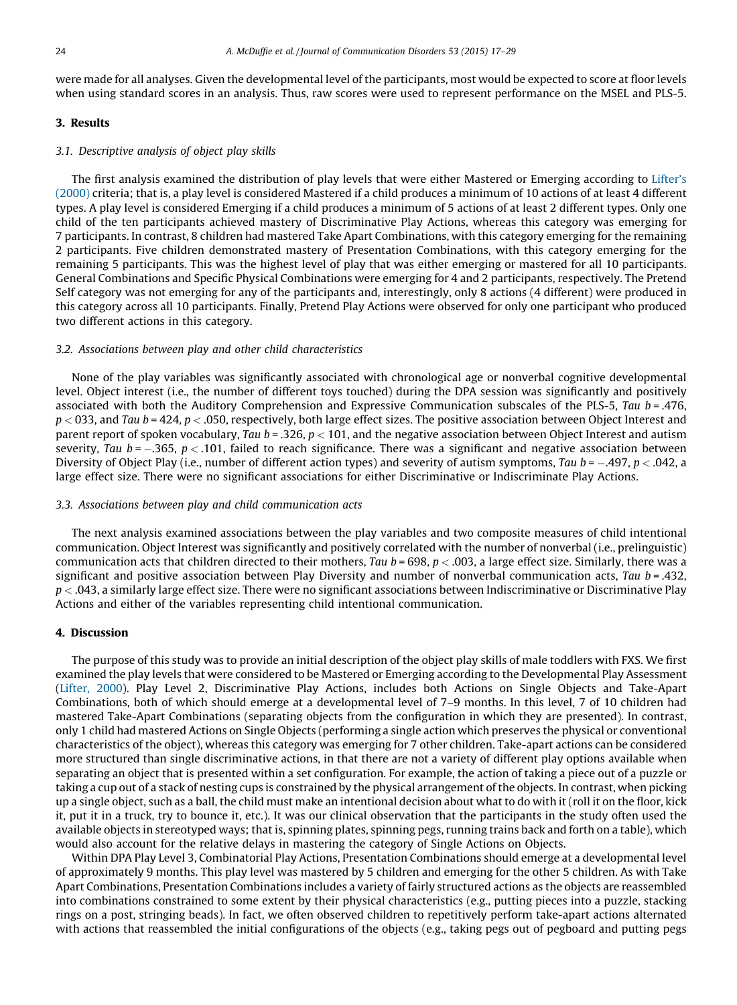were made for all analyses. Given the developmental level of the participants, most would be expected to score at floor levels when using standard scores in an analysis. Thus, raw scores were used to represent performance on the MSEL and PLS-5.

# 3. Results

## 3.1. Descriptive analysis of object play skills

The first analysis examined the distribution of play levels that were either Mastered or Emerging according to [Lifter's](#page-11-0) [\(2000\)](#page-11-0) criteria; that is, a play level is considered Mastered if a child produces a minimum of 10 actions of at least 4 different types. A play level is considered Emerging if a child produces a minimum of 5 actions of at least 2 different types. Only one child of the ten participants achieved mastery of Discriminative Play Actions, whereas this category was emerging for 7 participants. In contrast, 8 children had mastered Take Apart Combinations, with this category emerging for the remaining 2 participants. Five children demonstrated mastery of Presentation Combinations, with this category emerging for the remaining 5 participants. This was the highest level of play that was either emerging or mastered for all 10 participants. General Combinations and Specific Physical Combinations were emerging for 4 and 2 participants, respectively. The Pretend Self category was not emerging for any of the participants and, interestingly, only 8 actions (4 different) were produced in this category across all 10 participants. Finally, Pretend Play Actions were observed for only one participant who produced two different actions in this category.

#### 3.2. Associations between play and other child characteristics

None of the play variables was significantly associated with chronological age or nonverbal cognitive developmental level. Object interest (i.e., the number of different toys touched) during the DPA session was significantly and positively associated with both the Auditory Comprehension and Expressive Communication subscales of the PLS-5, Tau  $b = .476$ ,  $p < 033$ , and Tau  $b = 424$ ,  $p < .050$ , respectively, both large effect sizes. The positive association between Object Interest and parent report of spoken vocabulary, Tau  $b = 0.326$ ,  $p < 101$ , and the negative association between Object Interest and autism severity, Tau b =  $-.365$ , p  $< .101$ , failed to reach significance. There was a significant and negative association between Diversity of Object Play (i.e., number of different action types) and severity of autism symptoms, Tau b = –.497, p < .042, a large effect size. There were no significant associations for either Discriminative or Indiscriminate Play Actions.

## 3.3. Associations between play and child communication acts

The next analysis examined associations between the play variables and two composite measures of child intentional communication. Object Interest was significantly and positively correlated with the number of nonverbal (i.e., prelinguistic) communication acts that children directed to their mothers, Tau  $b = 698$ ,  $p < .003$ , a large effect size. Similarly, there was a significant and positive association between Play Diversity and number of nonverbal communication acts, Tau  $b = .432$ ,  $p < 0.043$ , a similarly large effect size. There were no significant associations between Indiscriminative or Discriminative Play Actions and either of the variables representing child intentional communication.

# 4. Discussion

The purpose of this study was to provide an initial description of the object play skills of male toddlers with FXS. We first examined the play levels that were considered to be Mastered or Emerging according to the Developmental Play Assessment [\(Lifter,](#page-11-0) 2000). Play Level 2, Discriminative Play Actions, includes both Actions on Single Objects and Take-Apart Combinations, both of which should emerge at a developmental level of 7–9 months. In this level, 7 of 10 children had mastered Take-Apart Combinations (separating objects from the configuration in which they are presented). In contrast, only 1 child had mastered Actions on Single Objects (performing a single action which preserves the physical or conventional characteristics of the object), whereas this category was emerging for 7 other children. Take-apart actions can be considered more structured than single discriminative actions, in that there are not a variety of different play options available when separating an object that is presented within a set configuration. For example, the action of taking a piece out of a puzzle or taking a cup out of a stack of nesting cups is constrained by the physical arrangement of the objects. In contrast, when picking up a single object, such as a ball, the child must make an intentional decision about what to do with it (roll it on the floor, kick it, put it in a truck, try to bounce it, etc.). It was our clinical observation that the participants in the study often used the available objects in stereotyped ways; that is, spinning plates, spinning pegs, running trains back and forth on a table), which would also account for the relative delays in mastering the category of Single Actions on Objects.

Within DPA Play Level 3, Combinatorial Play Actions, Presentation Combinations should emerge at a developmental level of approximately 9 months. This play level was mastered by 5 children and emerging for the other 5 children. As with Take Apart Combinations, Presentation Combinations includes a variety of fairly structured actions as the objects are reassembled into combinations constrained to some extent by their physical characteristics (e.g., putting pieces into a puzzle, stacking rings on a post, stringing beads). In fact, we often observed children to repetitively perform take-apart actions alternated with actions that reassembled the initial configurations of the objects (e.g., taking pegs out of pegboard and putting pegs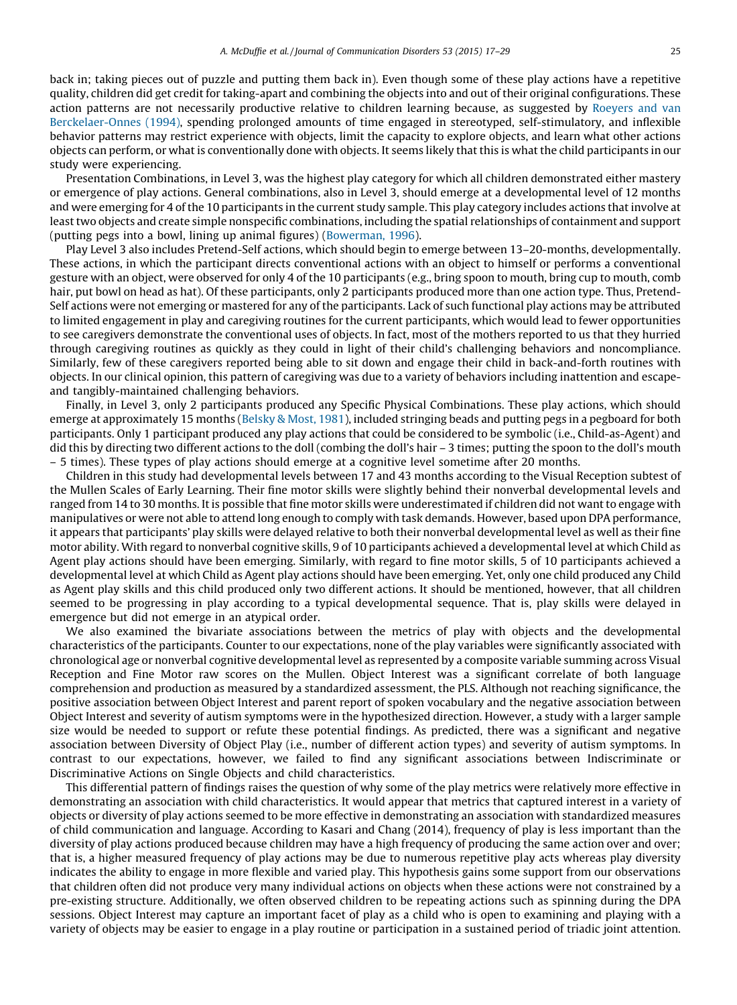back in; taking pieces out of puzzle and putting them back in). Even though some of these play actions have a repetitive quality, children did get credit for taking-apart and combining the objects into and out of their original configurations. These action patterns are not necessarily productive relative to children learning because, as suggested by [Roeyers](#page-11-0) and van [Berckelaer-Onnes](#page-11-0) (1994), spending prolonged amounts of time engaged in stereotyped, self-stimulatory, and inflexible behavior patterns may restrict experience with objects, limit the capacity to explore objects, and learn what other actions objects can perform, or what is conventionally done with objects. It seems likely that this is what the child participants in our study were experiencing.

Presentation Combinations, in Level 3, was the highest play category for which all children demonstrated either mastery or emergence of play actions. General combinations, also in Level 3, should emerge at a developmental level of 12 months and were emerging for 4 of the 10 participants in the current study sample. This play category includes actions that involve at leasttwo objects and create simple nonspecific combinations, including the spatial relationships of containment and support (putting pegs into a bowl, lining up animal figures) [\(Bowerman,](#page-10-0) 1996).

Play Level 3 also includes Pretend-Self actions, which should begin to emerge between 13–20-months, developmentally. These actions, in which the participant directs conventional actions with an object to himself or performs a conventional gesture with an object, were observed for only 4 of the 10 participants (e.g., bring spoon to mouth, bring cup to mouth, comb hair, put bowl on head as hat). Of these participants, only 2 participants produced more than one action type. Thus, Pretend-Self actions were not emerging or mastered for any of the participants. Lack of such functional play actions may be attributed to limited engagement in play and caregiving routines for the current participants, which would lead to fewer opportunities to see caregivers demonstrate the conventional uses of objects. In fact, most of the mothers reported to us that they hurried through caregiving routines as quickly as they could in light of their child's challenging behaviors and noncompliance. Similarly, few of these caregivers reported being able to sit down and engage their child in back-and-forth routines with objects. In our clinical opinion, this pattern of caregiving was due to a variety of behaviors including inattention and escapeand tangibly-maintained challenging behaviors.

Finally, in Level 3, only 2 participants produced any Specific Physical Combinations. These play actions, which should emerge at approximately 15 months ([Belsky](#page-10-0) & Most, 1981), included stringing beads and putting pegs in a pegboard for both participants. Only 1 participant produced any play actions that could be considered to be symbolic (i.e., Child-as-Agent) and did this by directing two different actions to the doll (combing the doll's hair – 3 times; putting the spoon to the doll's mouth – 5 times). These types of play actions should emerge at a cognitive level sometime after 20 months.

Children in this study had developmental levels between 17 and 43 months according to the Visual Reception subtest of the Mullen Scales of Early Learning. Their fine motor skills were slightly behind their nonverbal developmental levels and ranged from 14 to 30 months. It is possible that fine motor skills were underestimated if children did not want to engage with manipulatives or were not able to attend long enough to comply with task demands. However, based upon DPA performance, it appears that participants' play skills were delayed relative to both their nonverbal developmental level as well as their fine motor ability. With regard to nonverbal cognitive skills, 9 of 10 participants achieved a developmental level at which Child as Agent play actions should have been emerging. Similarly, with regard to fine motor skills, 5 of 10 participants achieved a developmental level at which Child as Agent play actions should have been emerging. Yet, only one child produced any Child as Agent play skills and this child produced only two different actions. It should be mentioned, however, that all children seemed to be progressing in play according to a typical developmental sequence. That is, play skills were delayed in emergence but did not emerge in an atypical order.

We also examined the bivariate associations between the metrics of play with objects and the developmental characteristics of the participants. Counter to our expectations, none of the play variables were significantly associated with chronological age or nonverbal cognitive developmental level as represented by a composite variable summing across Visual Reception and Fine Motor raw scores on the Mullen. Object Interest was a significant correlate of both language comprehension and production as measured by a standardized assessment, the PLS. Although not reaching significance, the positive association between Object Interest and parent report of spoken vocabulary and the negative association between Object Interest and severity of autism symptoms were in the hypothesized direction. However, a study with a larger sample size would be needed to support or refute these potential findings. As predicted, there was a significant and negative association between Diversity of Object Play (i.e., number of different action types) and severity of autism symptoms. In contrast to our expectations, however, we failed to find any significant associations between Indiscriminate or Discriminative Actions on Single Objects and child characteristics.

This differential pattern of findings raises the question of why some of the play metrics were relatively more effective in demonstrating an association with child characteristics. It would appear that metrics that captured interest in a variety of objects or diversity of play actions seemed to be more effective in demonstrating an association with standardized measures of child communication and language. According to Kasari and Chang (2014), frequency of play is less important than the diversity of play actions produced because children may have a high frequency of producing the same action over and over; that is, a higher measured frequency of play actions may be due to numerous repetitive play acts whereas play diversity indicates the ability to engage in more flexible and varied play. This hypothesis gains some support from our observations that children often did not produce very many individual actions on objects when these actions were not constrained by a pre-existing structure. Additionally, we often observed children to be repeating actions such as spinning during the DPA sessions. Object Interest may capture an important facet of play as a child who is open to examining and playing with a variety of objects may be easier to engage in a play routine or participation in a sustained period of triadic joint attention.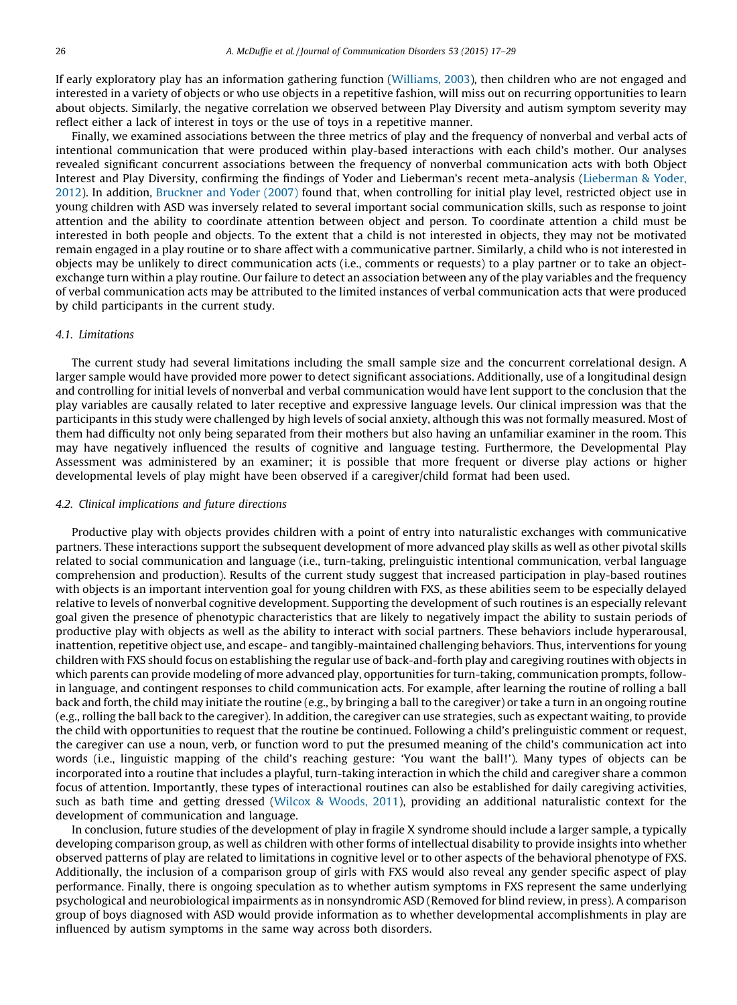If early exploratory play has an information gathering function [\(Williams,](#page-12-0) 2003), then children who are not engaged and interested in a variety of objects or who use objects in a repetitive fashion, will miss out on recurring opportunities to learn about objects. Similarly, the negative correlation we observed between Play Diversity and autism symptom severity may reflect either a lack of interest in toys or the use of toys in a repetitive manner.

Finally, we examined associations between the three metrics of play and the frequency of nonverbal and verbal acts of intentional communication that were produced within play-based interactions with each child's mother. Our analyses revealed significant concurrent associations between the frequency of nonverbal communication acts with both Object Interest and Play Diversity, confirming the findings of Yoder and Lieberman's recent meta-analysis [\(Lieberman](#page-11-0) & Yoder, [2012](#page-11-0)). In addition, [Bruckner](#page-10-0) and Yoder (2007) found that, when controlling for initial play level, restricted object use in young children with ASD was inversely related to several important social communication skills, such as response to joint attention and the ability to coordinate attention between object and person. To coordinate attention a child must be interested in both people and objects. To the extent that a child is not interested in objects, they may not be motivated remain engaged in a play routine or to share affect with a communicative partner. Similarly, a child who is not interested in objects may be unlikely to direct communication acts (i.e., comments or requests) to a play partner or to take an objectexchange turn within a play routine. Our failure to detect an association between any of the play variables and the frequency of verbal communication acts may be attributed to the limited instances of verbal communication acts that were produced by child participants in the current study.

# 4.1. Limitations

The current study had several limitations including the small sample size and the concurrent correlational design. A larger sample would have provided more power to detect significant associations. Additionally, use of a longitudinal design and controlling for initial levels of nonverbal and verbal communication would have lent support to the conclusion that the play variables are causally related to later receptive and expressive language levels. Our clinical impression was that the participants in this study were challenged by high levels of social anxiety, although this was not formally measured. Most of them had difficulty not only being separated from their mothers but also having an unfamiliar examiner in the room. This may have negatively influenced the results of cognitive and language testing. Furthermore, the Developmental Play Assessment was administered by an examiner; it is possible that more frequent or diverse play actions or higher developmental levels of play might have been observed if a caregiver/child format had been used.

## 4.2. Clinical implications and future directions

Productive play with objects provides children with a point of entry into naturalistic exchanges with communicative partners. These interactions support the subsequent development of more advanced play skills as well as other pivotal skills related to social communication and language (i.e., turn-taking, prelinguistic intentional communication, verbal language comprehension and production). Results of the current study suggest that increased participation in play-based routines with objects is an important intervention goal for young children with FXS, as these abilities seem to be especially delayed relative to levels of nonverbal cognitive development. Supporting the development of such routines is an especially relevant goal given the presence of phenotypic characteristics that are likely to negatively impact the ability to sustain periods of productive play with objects as well as the ability to interact with social partners. These behaviors include hyperarousal, inattention, repetitive object use, and escape- and tangibly-maintained challenging behaviors. Thus, interventions for young children with FXS should focus on establishing the regular use of back-and-forth play and caregiving routines with objects in which parents can provide modeling of more advanced play, opportunities for turn-taking, communication prompts, followin language, and contingent responses to child communication acts. For example, after learning the routine of rolling a ball back and forth, the child may initiate the routine (e.g., by bringing a ball to the caregiver) or take a turn in an ongoing routine (e.g., rolling the ball back to the caregiver). In addition, the caregiver can use strategies, such as expectant waiting, to provide the child with opportunities to request that the routine be continued. Following a child's prelinguistic comment or request, the caregiver can use a noun, verb, or function word to put the presumed meaning of the child's communication act into words (i.e., linguistic mapping of the child's reaching gesture: 'You want the ball!'). Many types of objects can be incorporated into a routine that includes a playful, turn-taking interaction in which the child and caregiver share a common focus of attention. Importantly, these types of interactional routines can also be established for daily caregiving activities, such as bath time and getting dressed (Wilcox & [Woods,](#page-12-0) 2011), providing an additional naturalistic context for the development of communication and language.

In conclusion, future studies of the development of play in fragile X syndrome should include a larger sample, a typically developing comparison group, as well as children with other forms of intellectual disability to provide insights into whether observed patterns of play are related to limitations in cognitive level or to other aspects of the behavioral phenotype of FXS. Additionally, the inclusion of a comparison group of girls with FXS would also reveal any gender specific aspect of play performance. Finally, there is ongoing speculation as to whether autism symptoms in FXS represent the same underlying psychological and neurobiological impairments as in nonsyndromic ASD (Removed for blind review, in press). A comparison group of boys diagnosed with ASD would provide information as to whether developmental accomplishments in play are influenced by autism symptoms in the same way across both disorders.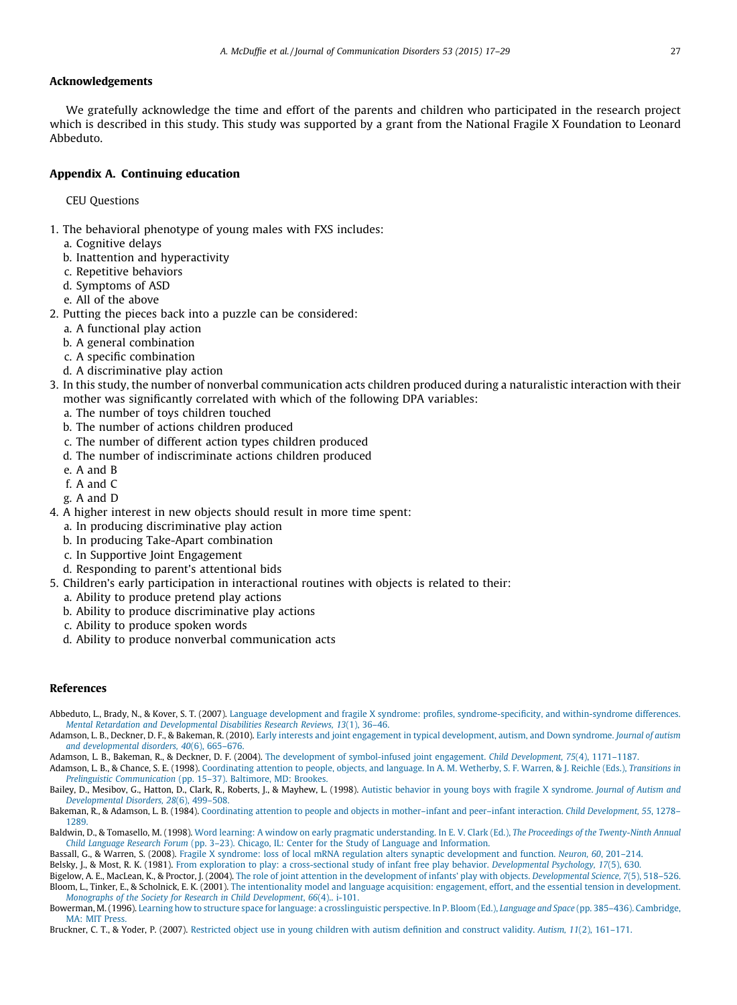# <span id="page-10-0"></span>Acknowledgements

We gratefully acknowledge the time and effort of the parents and children who participated in the research project which is described in this study. This study was supported by a grant from the National Fragile X Foundation to Leonard Abbeduto.

# Appendix A. Continuing education

CEU Questions

- 1. The behavioral phenotype of young males with FXS includes:
	- a. Cognitive delays
	- b. Inattention and hyperactivity
	- c. Repetitive behaviors
	- d. Symptoms of ASD
	- e. All of the above
- 2. Putting the pieces back into a puzzle can be considered:
	- a. A functional play action
	- b. A general combination
	- c. A specific combination
	- d. A discriminative play action
- 3. In this study, the number of nonverbal communication acts children produced during a naturalistic interaction with their mother was significantly correlated with which of the following DPA variables:
	- a. The number of toys children touched
	- b. The number of actions children produced
	- c. The number of different action types children produced
	- d. The number of indiscriminate actions children produced
	- e. A and B
	- f. A and C
	- g. A and D
- 4. A higher interest in new objects should result in more time spent:
	- a. In producing discriminative play action
	- b. In producing Take-Apart combination
	- c. In Supportive Joint Engagement
	- d. Responding to parent's attentional bids
- 5. Children's early participation in interactional routines with objects is related to their:
	- a. Ability to produce pretend play actions
	- b. Ability to produce discriminative play actions
	- c. Ability to produce spoken words
	- d. Ability to produce nonverbal communication acts

# References

- Abbeduto, L., Brady, N., & Kover, S. T. (2007). Language development and fragile X syndrome: profiles, [syndrome-specificity,](http://refhub.elsevier.com/S0021-9924(14)00087-2/sbref0005) and within-syndrome differences. Mental Retardation and [Developmental](http://refhub.elsevier.com/S0021-9924(14)00087-2/sbref0005) Disabilities Research Reviews, 13(1), 36–46.
- Adamson, L. B., Deckner, D. F., & Bakeman, R. (2010). Early interests and joint engagement in typical [development,](http://refhub.elsevier.com/S0021-9924(14)00087-2/sbref0020) autism, and Down syndrome. Journal of autism and [developmental](http://refhub.elsevier.com/S0021-9924(14)00087-2/sbref0020) disorders, 40(6), 665–676.

Adamson, L. B., Bakeman, R., & Deckner, D. F. (2004). The development of [symbol-infused](http://refhub.elsevier.com/S0021-9924(14)00087-2/sbref0030) joint engagement. Child Development, 75(4), 1171–1187.

Adamson, L. B., & Chance, S. E. (1998). [Coordinating](http://refhub.elsevier.com/S0021-9924(14)00087-2/sbref0035) attention to people, objects, and language. In A. M. Wetherby, S. F. Warren, & J. Reichle (Eds.), Transitions in

Prelinguistic [Communication](http://refhub.elsevier.com/S0021-9924(14)00087-2/sbref0035) (pp. 15–37). Baltimore, MD: Brookes. Bailey, D., Mesibov, G., Hatton, D., Clark, R., Roberts, J., & Mayhew, L. (1998). Autistic behavior in young boys with fragile X [syndrome.](http://refhub.elsevier.com/S0021-9924(14)00087-2/sbref0040) Journal of Autism and [Developmental](http://refhub.elsevier.com/S0021-9924(14)00087-2/sbref0040) Disorders, 28(6), 499–508.

Bakeman, R., & Adamson, L. B. (1984). Coordinating attention to people and objects in [mother–infant](http://refhub.elsevier.com/S0021-9924(14)00087-2/sbref0045) and peer–infant interaction. Child Development, 55, 1278– [1289.](http://refhub.elsevier.com/S0021-9924(14)00087-2/sbref0045)

Baldwin, D., & Tomasello, M. (1998). Word learning: A window on early pragmatic [understanding.](http://refhub.elsevier.com/S0021-9924(14)00087-2/sbref0050) In E. V. Clark (Ed.), The Proceedings of the Twenty-Ninth Annual Child Language Research Forum (pp. 3–23). Chicago, IL: Center for the Study of Language and [Information.](http://refhub.elsevier.com/S0021-9924(14)00087-2/sbref0050)

Bassall, G., & Warren, S. (2008). Fragile X syndrome: loss of local mRNA regulation alters synaptic [development](http://refhub.elsevier.com/S0021-9924(14)00087-2/sbref0055) and function. Neuron, 60, 201–214.

Belsky, J., & Most, R. K. (1981). From exploration to play: a [cross-sectional](http://refhub.elsevier.com/S0021-9924(14)00087-2/sbref0070) study of infant free play behavior. Developmental Psychology, 17(5), 630.

Bigelow, A. E., MacLean, K., & Proctor, J. (2004). The role of joint attention in the development of infants' play with objects. [Developmental](http://refhub.elsevier.com/S0021-9924(14)00087-2/sbref0075) Science, 7(5), 518-526. Bloom, L., Tinker, E., & Scholnick, E. K. (2001). The [intentionality](http://refhub.elsevier.com/S0021-9924(14)00087-2/sbref0080) model and language acquisition: engagement, effort, and the essential tension in development. Monographs of the Society for Research in Child [Development](http://refhub.elsevier.com/S0021-9924(14)00087-2/sbref0080), 66(4).. i-101.

Bowerman, M.(1996). Learning how to structure space for language: a [crosslinguistic](http://refhub.elsevier.com/S0021-9924(14)00087-2/sbref0085) perspective. In P. Bloom (Ed.), Language and Space (pp. 385–436). Cambridge, MA: MIT [Press](http://refhub.elsevier.com/S0021-9924(14)00087-2/sbref0085).

Bruckner, C. T., & Yoder, P. (2007). [Restricted](http://refhub.elsevier.com/S0021-9924(14)00087-2/sbref0090) object use in young children with autism definition and construct validity. Autism, 11(2), 161–171.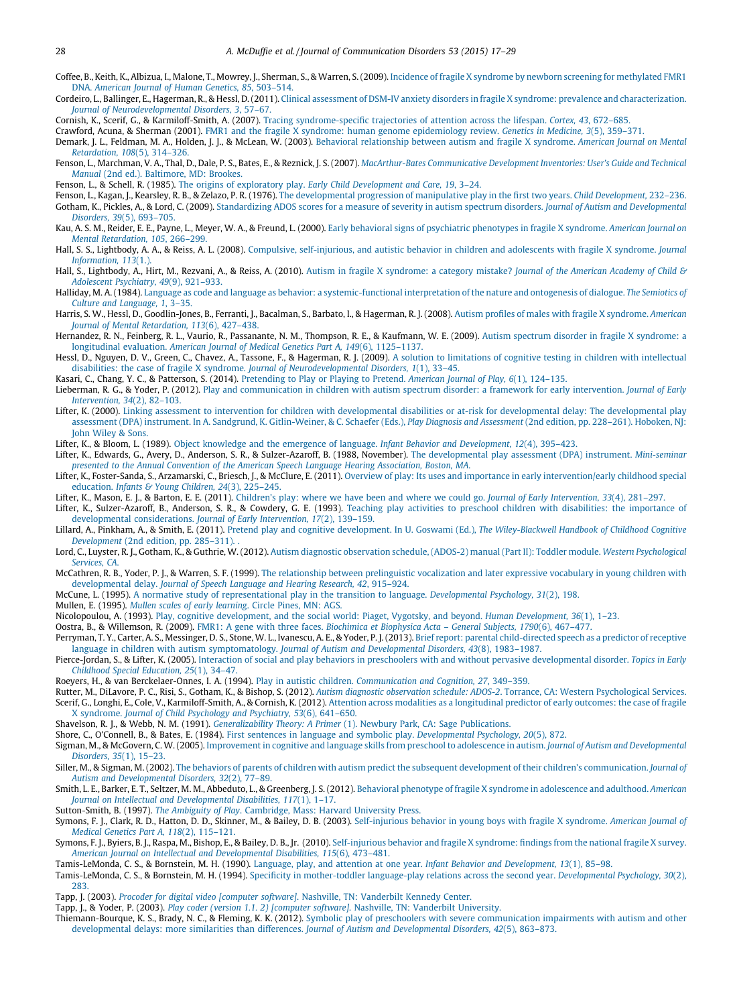- <span id="page-11-0"></span>Coffee, B., Keith, K., Albizua, I., Malone, T., Mowrey, J., Sherman, S., & Warren, S.(2009). Incidence of fragile X syndrome by newborn screening for [methylated](http://refhub.elsevier.com/S0021-9924(14)00087-2/sbref0100) FMR1 DNA. [American](http://refhub.elsevier.com/S0021-9924(14)00087-2/sbref0100) Journal of Human Genetics, 85, 503–514.
- Cordeiro, L., Ballinger, E., Hagerman, R., & Hessl, D.(2011). Clinical assessment of DSM-IV anxiety disorders in fragile X syndrome: prevalence and [characterization.](http://refhub.elsevier.com/S0021-9924(14)00087-2/sbref0105) Journal of [Neurodevelopmental](http://refhub.elsevier.com/S0021-9924(14)00087-2/sbref0105) Disorders, 3, 57–67.

Cornish, K., Scerif, G., & Karmiloff-Smith, A. (2007). Tracing [syndrome-specific](http://refhub.elsevier.com/S0021-9924(14)00087-2/sbref0110) trajectories of attention across the lifespan. Cortex, 43, 672–685.

Crawford, Acuna, & Sherman (2001). FMR1 and the fragile X syndrome: human genome [epidemiology](http://refhub.elsevier.com/S0021-9924(14)00087-2/sbref0115) review. Genetics in Medicine, 3(5), 359–371.

Demark, J. L., Feldman, M. A., Holden, J. J., & McLean, W. (2003). Behavioral [relationship](http://refhub.elsevier.com/S0021-9924(14)00087-2/sbref0120) between autism and fragile X syndrome. American Journal on Mental [Retardation,](http://refhub.elsevier.com/S0021-9924(14)00087-2/sbref0120) 108(5), 314–326.

Fenson, L., Marchman, V. A., Thal, D., Dale, P. S., Bates, E., & Reznick, J. S. (2007). [MacArthur-Bates](http://refhub.elsevier.com/S0021-9924(14)00087-2/sbref0125) Communicative Development Inventories: User's Guide and Technical Manual (2nd ed.). [Baltimore,](http://refhub.elsevier.com/S0021-9924(14)00087-2/sbref0125) MD: Brookes.

Fenson, L., & Schell, R. (1985). The origins of exploratory play. Early Child [Development](http://refhub.elsevier.com/S0021-9924(14)00087-2/sbref0130) and Care, 19, 3–24.

- Fenson, L., Kagan, J., Kearsley, R. B., & Zelazo, P. R. (1976). The [developmental](http://refhub.elsevier.com/S0021-9924(14)00087-2/sbref0480) progression of manipulative play in the first two years. Child Development, 232–236. Gotham, K., Pickles, A., & Lord, C. (2009). Standardizing ADOS scores for a measure of severity in autism spectrum disorders. Journal of Autism and [Developmental](http://refhub.elsevier.com/S0021-9924(14)00087-2/sbref0135) [Disorders,](http://refhub.elsevier.com/S0021-9924(14)00087-2/sbref0135) 39(5), 693–705.
- Kau, A. S. M., Reider, E. E., Payne, L., Meyer, W. A., & Freund, L. (2000). Early behavioral signs of psychiatric [phenotypes](http://refhub.elsevier.com/S0021-9924(14)00087-2/sbref0140) in fragile X syndrome. American Journal on Mental [Retardation,](http://refhub.elsevier.com/S0021-9924(14)00087-2/sbref0140) 105, 266–299.
- Hall, S. S., Lightbody, A. A., & Reiss, A. L. (2008). Compulsive, [self-injurious,](http://refhub.elsevier.com/S0021-9924(14)00087-2/sbref0145) and autistic behavior in children and adolescents with fragile X syndrome. Journal [Information,](http://refhub.elsevier.com/S0021-9924(14)00087-2/sbref0145) 113(1.).
- Hall, S., Lightbody, A., Hirt, M., Rezvani, A., & Reiss, A. (2010). Autism in fragile X [syndrome:](http://refhub.elsevier.com/S0021-9924(14)00087-2/sbref0150) a category mistake? Journal of the American Academy of Child & Adolescent [Psychiatry,](http://refhub.elsevier.com/S0021-9924(14)00087-2/sbref0150) 49(9), 921–933.

Halliday, M. A. (1984). Language as code and language as behavior: a [systemic-functional](http://refhub.elsevier.com/S0021-9924(14)00087-2/sbref0155) interpretation of the nature and ontogenesis of dialogue. The Semiotics of Culture and [Language,](http://refhub.elsevier.com/S0021-9924(14)00087-2/sbref0155) 1, 3–35.

- Harris, S. W., Hessl, D., Goodlin-Jones, B., Ferranti, J., Bacalman, S., Barbato, I., & Hagerman, R. J. (2008). Autism profiles of males with fragile X [syndrome.](http://refhub.elsevier.com/S0021-9924(14)00087-2/sbref0160) American Journal of Mental [Retardation,](http://refhub.elsevier.com/S0021-9924(14)00087-2/sbref0160) 113(6), 427–438.
- Hernandez, R. N., Feinberg, R. L., Vaurio, R., Passanante, N. M., Thompson, R. E., & Kaufmann, W. E. (2009). Autism spectrum disorder in fragile X [syndrome:](http://refhub.elsevier.com/S0021-9924(14)00087-2/sbref0165) a [longitudinal](http://refhub.elsevier.com/S0021-9924(14)00087-2/sbref0165) evaluation. American Journal of Medical Genetics Part A, 149(6), 1125–1137.
- Hessl, D., Nguyen, D. V., Green, C., Chavez, A., Tassone, F., & Hagerman, R. J. (2009). A solution to limitations of cognitive testing in children with [intellectual](http://refhub.elsevier.com/S0021-9924(14)00087-2/sbref0485) disabilities: the case of fragile X syndrome. Journal of [Neurodevelopmental](http://refhub.elsevier.com/S0021-9924(14)00087-2/sbref0485) Disorders, 1(1), 33–45.

Kasari, C., Chang, Y. C., & Patterson, S. (2014). [Pretending](http://refhub.elsevier.com/S0021-9924(14)00087-2/sbref0175) to Play or Playing to Pretend. American Journal of Play, 6(1), 124–135.

- Lieberman, R. G., & Yoder, P. (2012). Play and [communication](http://refhub.elsevier.com/S0021-9924(14)00087-2/sbref0180) in children with autism spectrum disorder: a framework for early intervention. Journal of Early [Intervention,](http://refhub.elsevier.com/S0021-9924(14)00087-2/sbref0180) 34(2), 82–103.
- Lifter, K. (2000). Linking assessment to intervention for children with developmental disabilities or at-risk for developmental delay: The [developmental](http://refhub.elsevier.com/S0021-9924(14)00087-2/sbref0185) play assessment (DPA) instrument. In A. Sandgrund, K. [Gitlin-Weiner,](http://refhub.elsevier.com/S0021-9924(14)00087-2/sbref0185) & C. Schaefer (Eds.), Play Diagnosis and Assessment (2nd edition, pp. 228-261). Hoboken, NJ: John [Wiley](http://refhub.elsevier.com/S0021-9924(14)00087-2/sbref0185) & Sons.

Lifter, K., & Bloom, L. (1989). Object knowledge and the emergence of language. Infant Behavior and [Development,](http://refhub.elsevier.com/S0021-9924(14)00087-2/sbref0190) 12(4), 395–423.

Lifter, K., Edwards, G., Avery, D., Anderson, S. R., & Sulzer-Azaroff, B. (1988, November). The [developmental](http://refhub.elsevier.com/S0021-9924(14)00087-2/sbref0490) play assessment (DPA) instrument. Mini-seminar presented to the Annual Convention of the American Speech Language Hearing [Association,](http://refhub.elsevier.com/S0021-9924(14)00087-2/sbref0490) Boston, MA.

Lifter, K., Foster-Sanda, S., Arzamarski, C., Briesch, J., & McClure, E. (2011). Overview of play: Its uses and importance in early [intervention/early](http://refhub.elsevier.com/S0021-9924(14)00087-2/sbref0195) childhood special [education.](http://refhub.elsevier.com/S0021-9924(14)00087-2/sbref0195) Infants & Young Children, 24(3), 225-245.

Lifter, K., Mason, E. J., & Barton, E. E. (2011). Children's play: where we have been and where we could go. Journal of Early [Intervention,](http://refhub.elsevier.com/S0021-9924(14)00087-2/sbref0200) 33(4), 281-297.

Lifter, K., Sulzer-Azaroff, B., Anderson, S. R., & Cowdery, G. E. (1993). Teaching play activities to preschool children with [disabilities:](http://refhub.elsevier.com/S0021-9924(14)00087-2/sbref0205) the importance of developmental [considerations.](http://refhub.elsevier.com/S0021-9924(14)00087-2/sbref0205) Journal of Early Intervention, 17(2), 139–159.

Lillard, A., Pinkham, A., & Smith, E. (2011). Pretend play and cognitive development. In U. Goswami (Ed.), The [Wiley-Blackwell](http://refhub.elsevier.com/S0021-9924(14)00087-2/sbref0210) Handbook of Childhood Cognitive [Development](http://refhub.elsevier.com/S0021-9924(14)00087-2/sbref0210) (2nd edition, pp. 285–311). .

Lord, C., Luyster, R. J., Gotham, K., & Guthrie, W. (2012). Autism diagnostic observation schedule, (ADOS-2) manual (Part II): Toddler module. Western [Psychological](http://refhub.elsevier.com/S0021-9924(14)00087-2/sbref0215) [Services,](http://refhub.elsevier.com/S0021-9924(14)00087-2/sbref0215) CA.

McCathren, R. B., Yoder, P. J., & Warren, S. F. (1999). The relationship between [prelinguistic](http://refhub.elsevier.com/S0021-9924(14)00087-2/sbref0225) vocalization and later expressive vocabulary in young children with [developmental](http://refhub.elsevier.com/S0021-9924(14)00087-2/sbref0225) delay. Journal of Speech Language and Hearing Research, 42, 915–924.

McCune, L. (1995). A normative study of [representational](http://refhub.elsevier.com/S0021-9924(14)00087-2/sbref0230) play in the transition to language. Developmental Psychology, 31(2), 198.

Mullen, E. (1995). Mullen scales of early [learning](http://refhub.elsevier.com/S0021-9924(14)00087-2/sbref0250). Circle Pines, MN: AGS.

Nicolopoulou, A. (1993). Play, cognitive [development,](http://refhub.elsevier.com/S0021-9924(14)00087-2/sbref0260) and the social world: Piaget, Vygotsky, and beyond. Human Development, 36(1), 1–23.

Oostra, B., & Willemson, R. (2009). FMR1: A gene with three faces. [Biochimica](http://refhub.elsevier.com/S0021-9924(14)00087-2/sbref0270) et Biophysica Acta – General Subjects, 1790(6), 467–477.

Perryman, T. Y., Carter, A. S., Messinger, D. S., Stone, W. L., Ivanescu, A. E., & Yoder, P. J.(2013). Brief report: parental [child-directed](http://refhub.elsevier.com/S0021-9924(14)00087-2/sbref0275) speech as a predictor of receptive language in children with autism [symptomatology.](http://refhub.elsevier.com/S0021-9924(14)00087-2/sbref0275) Journal of Autism and Developmental Disorders, 43(8), 1983–1987.

Pierce-Jordan, S., & Lifter, K. (2005). Interaction of social and play behaviors in preschoolers with and without pervasive [developmental](http://refhub.elsevier.com/S0021-9924(14)00087-2/sbref0285) disorder. Topics in Early Childhood Special [Education,](http://refhub.elsevier.com/S0021-9924(14)00087-2/sbref0285) 25(1), 34–47.

Roeyers, H., & van Berckelaer-Onnes, I. A. (1994). Play in autistic children. [Communication](http://refhub.elsevier.com/S0021-9924(14)00087-2/sbref0295) and Cognition, 27, 349–359.

Rutter, M., DiLavore, P. C., Risi, S., Gotham, K., & Bishop, S. (2012). Autism diagnostic observation schedule: ADOS-2. Torrance, CA: Western [Psychological](http://refhub.elsevier.com/S0021-9924(14)00087-2/sbref0305) Services. Scerif, G., Longhi, E., Cole, V., Karmiloff-Smith, A., & Cornish, K. (2012). Attention across modalities as a [longitudinal](http://refhub.elsevier.com/S0021-9924(14)00087-2/sbref0495) predictor of early outcomes: the case of fragile X [syndrome.](http://refhub.elsevier.com/S0021-9924(14)00087-2/sbref0495) Journal of Child Psychology and Psychiatry, 53(6), 641–650.

Shavelson, R. J., & Webb, N. M. (1991). [Generalizability](http://refhub.elsevier.com/S0021-9924(14)00087-2/sbref0320) Theory: A Primer (1). Newbury Park, CA: Sage Publications.

Shore, C., O'Connell, B., & Bates, E. (1984). First sentences in language and symbolic play. [Developmental](http://refhub.elsevier.com/S0021-9924(14)00087-2/sbref0325) Psychology, 20(5), 872.

Sigman, M., & McGovern, C. W. (2005). Improvement in cognitive and language skills from preschool to adolescence in autism. Journal of Autism and [Developmental](http://refhub.elsevier.com/S0021-9924(14)00087-2/sbref0330) [Disorders,](http://refhub.elsevier.com/S0021-9924(14)00087-2/sbref0330) 35(1), 15–23.

Siller, M., & Sigman, M. (2002). The behaviors of parents of children with autism predict the subsequent development of their children's [communication.](http://refhub.elsevier.com/S0021-9924(14)00087-2/sbref0335) Journal of Autism and [Developmental](http://refhub.elsevier.com/S0021-9924(14)00087-2/sbref0335) Disorders, 32(2), 77–89.

Smith, L. E., Barker, E. T., Seltzer, M. M., Abbeduto, L., & Greenberg, J. S. (2012). Behavioral phenotype of fragile X syndrome in [adolescence](http://refhub.elsevier.com/S0021-9924(14)00087-2/sbref0340) and adulthood. American Journal on Intellectual and [Developmental](http://refhub.elsevier.com/S0021-9924(14)00087-2/sbref0340) Disabilities, 117(1), 1–17.

Sutton-Smith, B. (1997). The Ambiguity of Play. [Cambridge,](http://refhub.elsevier.com/S0021-9924(14)00087-2/sbref0350) Mass: Harvard University Press.

Symons, F. J., Clark, R. D., Hatton, D. D., Skinner, M., & Bailey, D. B. (2003). [Self-injurious](http://refhub.elsevier.com/S0021-9924(14)00087-2/sbref0355) behavior in young boys with fragile X syndrome. American Journal of Medical Genetics Part A, 118(2), [115–121.](http://refhub.elsevier.com/S0021-9924(14)00087-2/sbref0355)

Symons, F. J., Byiers, B. J., Raspa, M., Bishop, E., & Bailey, D. B., Jr. (2010). [Self-injurious](http://refhub.elsevier.com/S0021-9924(14)00087-2/sbref0360) behavior and fragile X syndrome: findings from the national fragile X survey. American Journal on Intellectual and [Developmental](http://refhub.elsevier.com/S0021-9924(14)00087-2/sbref0360) Disabilities, 115(6), 473–481.

Tamis-LeMonda, C. S., & Bornstein, M. H. (1990). Language, play, and attention at one year. Infant Behavior and [Development,](http://refhub.elsevier.com/S0021-9924(14)00087-2/sbref0365) 13(1), 85–98.

Tamis-LeMonda, C. S., & Bornstein, M. H. (1994). Specificity in [mother-toddler](http://refhub.elsevier.com/S0021-9924(14)00087-2/sbref0370) language-play relations across the second year. Developmental Psychology, 30(2), [283](http://refhub.elsevier.com/S0021-9924(14)00087-2/sbref0370).

Tapp, J. (2003). Procoder for digital video [computer software]. Nashville, TN: [Vanderbilt](http://refhub.elsevier.com/S0021-9924(14)00087-2/sbref0500) Kennedy Center.

Tapp, J., & Yoder, P. (2003). Play coder (version 1.1. 2) [computer software]. Nashville, TN: [Vanderbilt](http://refhub.elsevier.com/S0021-9924(14)00087-2/sbref0510) University.

Thiemann-Bourque, K. S., Brady, N. C., & Fleming, K. K. (2012). Symbolic play of preschoolers with severe [communication](http://refhub.elsevier.com/S0021-9924(14)00087-2/sbref0375) impairments with autism and other [developmental](http://refhub.elsevier.com/S0021-9924(14)00087-2/sbref0375) delays: more similarities than differences. Journal of Autism and Developmental Disorders, 42(5), 863–873.